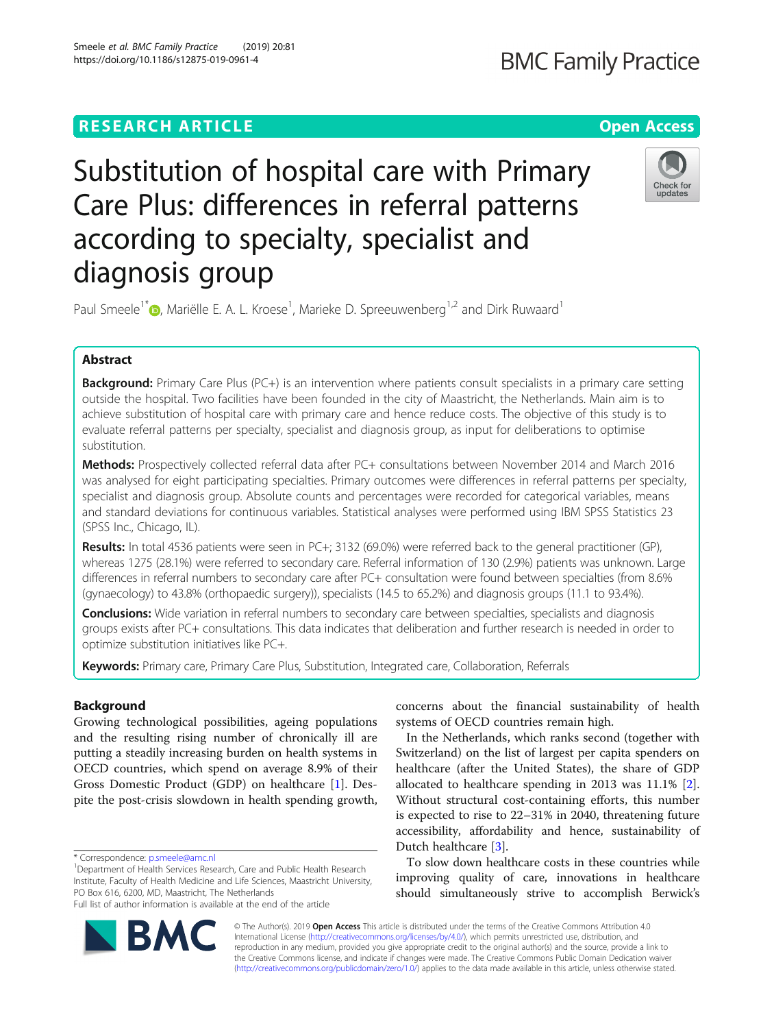diagnosis group

# concerns about the financial sustainability of health systems of OECD countries remain high.

In the Netherlands, which ranks second (together with Switzerland) on the list of largest per capita spenders on healthcare (after the United States), the share of GDP allocated to healthcare spending in 2013 was 11.1% [\[2](#page-7-0)]. Without structural cost-containing efforts, this number is expected to rise to 22–31% in 2040, threatening future accessibility, affordability and hence, sustainability of Dutch healthcare [\[3](#page-7-0)].

To slow down healthcare costs in these countries while improving quality of care, innovations in healthcare should simultaneously strive to accomplish Berwick's

© The Author(s). 2019 Open Access This article is distributed under the terms of the Creative Commons Attribution 4.0 International License [\(http://creativecommons.org/licenses/by/4.0/](http://creativecommons.org/licenses/by/4.0/)), which permits unrestricted use, distribution, and reproduction in any medium, provided you give appropriate credit to the original author(s) and the source, provide a link to the Creative Commons license, and indicate if changes were made. The Creative Commons Public Domain Dedication waiver [\(http://creativecommons.org/publicdomain/zero/1.0/](http://creativecommons.org/publicdomain/zero/1.0/)) applies to the data made available in this article, unless otherwise stated.

Background

Growing technological possibilities, ageing populations and the resulting rising number of chronically ill are putting a steadily increasing burden on health systems in OECD countries, which spend on average 8.9% of their Gross Domestic Product (GDP) on healthcare [\[1](#page-7-0)]. Despite the post-crisis slowdown in health spending growth,





Paul Smeele<sup>1\*</sup>®, Mariëlle E. A. L. Kroese<sup>1</sup>, Marieke D. Spreeuwenberg<sup>1,2</sup> and Dirk Ruwaard<sup>1</sup>

according to specialty, specialist and

Substitution of hospital care with Primary

Care Plus: differences in referral patterns

# Abstract

Background: Primary Care Plus (PC+) is an intervention where patients consult specialists in a primary care setting outside the hospital. Two facilities have been founded in the city of Maastricht, the Netherlands. Main aim is to achieve substitution of hospital care with primary care and hence reduce costs. The objective of this study is to evaluate referral patterns per specialty, specialist and diagnosis group, as input for deliberations to optimise substitution.

Methods: Prospectively collected referral data after PC+ consultations between November 2014 and March 2016 was analysed for eight participating specialties. Primary outcomes were differences in referral patterns per specialty, specialist and diagnosis group. Absolute counts and percentages were recorded for categorical variables, means and standard deviations for continuous variables. Statistical analyses were performed using IBM SPSS Statistics 23 (SPSS Inc., Chicago, IL).

Results: In total 4536 patients were seen in PC+; 3132 (69.0%) were referred back to the general practitioner (GP), whereas 1275 (28.1%) were referred to secondary care. Referral information of 130 (2.9%) patients was unknown. Large differences in referral numbers to secondary care after PC+ consultation were found between specialties (from 8.6% (gynaecology) to 43.8% (orthopaedic surgery)), specialists (14.5 to 65.2%) and diagnosis groups (11.1 to 93.4%).

**Conclusions:** Wide variation in referral numbers to secondary care between specialties, specialists and diagnosis groups exists after PC+ consultations. This data indicates that deliberation and further research is needed in order to optimize substitution initiatives like PC+.

Keywords: Primary care, Primary Care Plus, Substitution, Integrated care, Collaboration, Referrals

Full list of author information is available at the end of the article



<sup>\*</sup> Correspondence: [p.smeele@amc.nl](mailto:p.smeele@amc.nl) <sup>1</sup>

<sup>&</sup>lt;sup>1</sup>Department of Health Services Research, Care and Public Health Research Institute, Faculty of Health Medicine and Life Sciences, Maastricht University, PO Box 616, 6200, MD, Maastricht, The Netherlands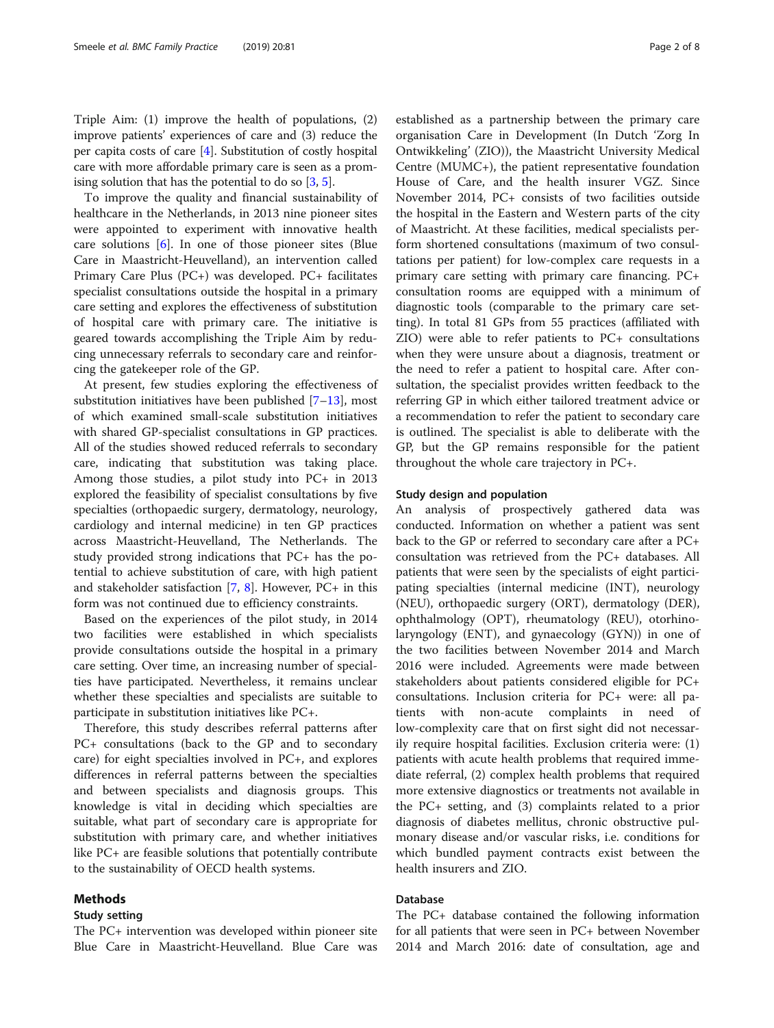Triple Aim: (1) improve the health of populations, (2) improve patients' experiences of care and (3) reduce the per capita costs of care [[4\]](#page-7-0). Substitution of costly hospital care with more affordable primary care is seen as a promising solution that has the potential to do so [\[3](#page-7-0), [5\]](#page-7-0).

To improve the quality and financial sustainability of healthcare in the Netherlands, in 2013 nine pioneer sites were appointed to experiment with innovative health care solutions [\[6](#page-7-0)]. In one of those pioneer sites (Blue Care in Maastricht-Heuvelland), an intervention called Primary Care Plus (PC+) was developed. PC+ facilitates specialist consultations outside the hospital in a primary care setting and explores the effectiveness of substitution of hospital care with primary care. The initiative is geared towards accomplishing the Triple Aim by reducing unnecessary referrals to secondary care and reinforcing the gatekeeper role of the GP.

At present, few studies exploring the effectiveness of substitution initiatives have been published  $[7-13]$  $[7-13]$  $[7-13]$ , most of which examined small-scale substitution initiatives with shared GP-specialist consultations in GP practices. All of the studies showed reduced referrals to secondary care, indicating that substitution was taking place. Among those studies, a pilot study into PC+ in 2013 explored the feasibility of specialist consultations by five specialties (orthopaedic surgery, dermatology, neurology, cardiology and internal medicine) in ten GP practices across Maastricht-Heuvelland, The Netherlands. The study provided strong indications that PC+ has the potential to achieve substitution of care, with high patient and stakeholder satisfaction [[7](#page-7-0), [8\]](#page-7-0). However, PC+ in this form was not continued due to efficiency constraints.

Based on the experiences of the pilot study, in 2014 two facilities were established in which specialists provide consultations outside the hospital in a primary care setting. Over time, an increasing number of specialties have participated. Nevertheless, it remains unclear whether these specialties and specialists are suitable to participate in substitution initiatives like PC+.

Therefore, this study describes referral patterns after PC+ consultations (back to the GP and to secondary care) for eight specialties involved in PC+, and explores differences in referral patterns between the specialties and between specialists and diagnosis groups. This knowledge is vital in deciding which specialties are suitable, what part of secondary care is appropriate for substitution with primary care, and whether initiatives like PC+ are feasible solutions that potentially contribute to the sustainability of OECD health systems.

# Methods

# Study setting

The PC+ intervention was developed within pioneer site Blue Care in Maastricht-Heuvelland. Blue Care was established as a partnership between the primary care organisation Care in Development (In Dutch 'Zorg In Ontwikkeling' (ZIO)), the Maastricht University Medical Centre (MUMC+), the patient representative foundation House of Care, and the health insurer VGZ. Since November 2014, PC+ consists of two facilities outside the hospital in the Eastern and Western parts of the city of Maastricht. At these facilities, medical specialists perform shortened consultations (maximum of two consultations per patient) for low-complex care requests in a primary care setting with primary care financing. PC+ consultation rooms are equipped with a minimum of diagnostic tools (comparable to the primary care setting). In total 81 GPs from 55 practices (affiliated with ZIO) were able to refer patients to PC+ consultations when they were unsure about a diagnosis, treatment or the need to refer a patient to hospital care. After consultation, the specialist provides written feedback to the referring GP in which either tailored treatment advice or a recommendation to refer the patient to secondary care is outlined. The specialist is able to deliberate with the GP, but the GP remains responsible for the patient throughout the whole care trajectory in PC+.

## Study design and population

An analysis of prospectively gathered data was conducted. Information on whether a patient was sent back to the GP or referred to secondary care after a PC+ consultation was retrieved from the PC+ databases. All patients that were seen by the specialists of eight participating specialties (internal medicine (INT), neurology (NEU), orthopaedic surgery (ORT), dermatology (DER), ophthalmology (OPT), rheumatology (REU), otorhinolaryngology (ENT), and gynaecology (GYN)) in one of the two facilities between November 2014 and March 2016 were included. Agreements were made between stakeholders about patients considered eligible for PC+ consultations. Inclusion criteria for PC+ were: all patients with non-acute complaints in need of low-complexity care that on first sight did not necessarily require hospital facilities. Exclusion criteria were: (1) patients with acute health problems that required immediate referral, (2) complex health problems that required more extensive diagnostics or treatments not available in the PC+ setting, and (3) complaints related to a prior diagnosis of diabetes mellitus, chronic obstructive pulmonary disease and/or vascular risks, i.e. conditions for which bundled payment contracts exist between the health insurers and ZIO.

# Database

The PC+ database contained the following information for all patients that were seen in PC+ between November 2014 and March 2016: date of consultation, age and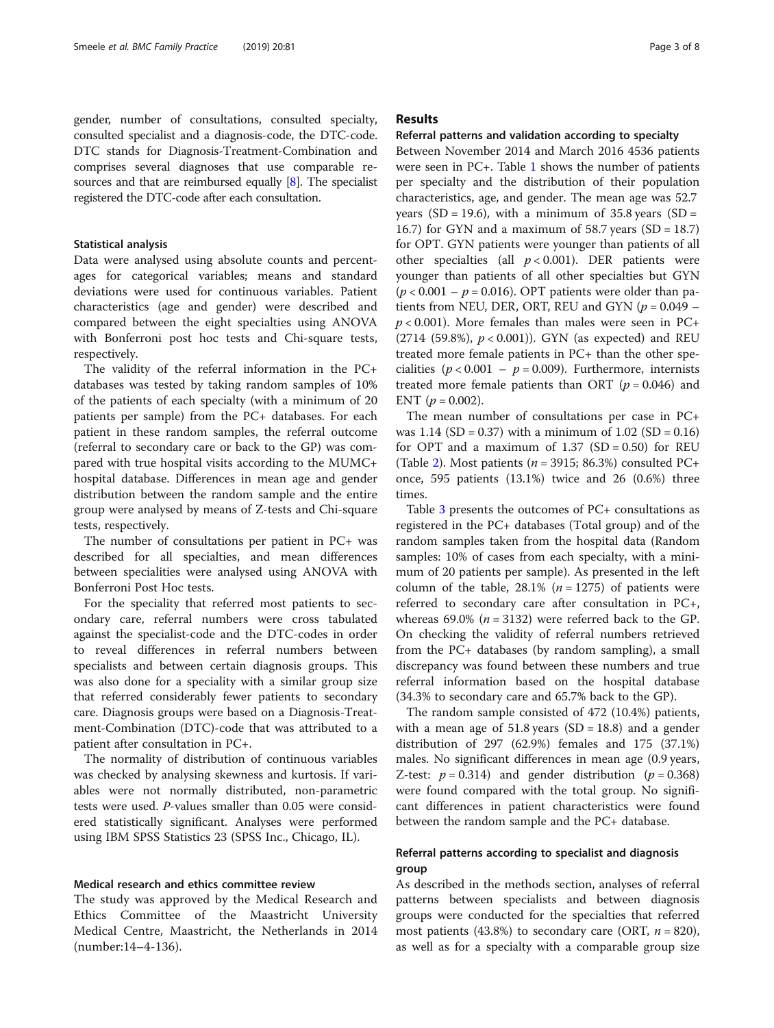gender, number of consultations, consulted specialty, consulted specialist and a diagnosis-code, the DTC-code. DTC stands for Diagnosis-Treatment-Combination and comprises several diagnoses that use comparable resources and that are reimbursed equally [\[8\]](#page-7-0). The specialist registered the DTC-code after each consultation.

#### Statistical analysis

Data were analysed using absolute counts and percentages for categorical variables; means and standard deviations were used for continuous variables. Patient characteristics (age and gender) were described and compared between the eight specialties using ANOVA with Bonferroni post hoc tests and Chi-square tests, respectively.

The validity of the referral information in the PC+ databases was tested by taking random samples of 10% of the patients of each specialty (with a minimum of 20 patients per sample) from the PC+ databases. For each patient in these random samples, the referral outcome (referral to secondary care or back to the GP) was compared with true hospital visits according to the MUMC+ hospital database. Differences in mean age and gender distribution between the random sample and the entire group were analysed by means of Z-tests and Chi-square tests, respectively.

The number of consultations per patient in PC+ was described for all specialties, and mean differences between specialities were analysed using ANOVA with Bonferroni Post Hoc tests.

For the speciality that referred most patients to secondary care, referral numbers were cross tabulated against the specialist-code and the DTC-codes in order to reveal differences in referral numbers between specialists and between certain diagnosis groups. This was also done for a speciality with a similar group size that referred considerably fewer patients to secondary care. Diagnosis groups were based on a Diagnosis-Treatment-Combination (DTC)-code that was attributed to a patient after consultation in PC+.

The normality of distribution of continuous variables was checked by analysing skewness and kurtosis. If variables were not normally distributed, non-parametric tests were used. P-values smaller than 0.05 were considered statistically significant. Analyses were performed using IBM SPSS Statistics 23 (SPSS Inc., Chicago, IL).

# Medical research and ethics committee review

The study was approved by the Medical Research and Ethics Committee of the Maastricht University Medical Centre, Maastricht, the Netherlands in 2014 (number:14–4-136).

# Results

## Referral patterns and validation according to specialty

Between November 2014 and March 2016 4536 patients were seen in PC+. Table [1](#page-3-0) shows the number of patients per specialty and the distribution of their population characteristics, age, and gender. The mean age was 52.7 years (SD = 19.6), with a minimum of  $35.8$  years (SD = 16.7) for GYN and a maximum of 58.7 years  $(SD = 18.7)$ for OPT. GYN patients were younger than patients of all other specialties (all  $p < 0.001$ ). DER patients were younger than patients of all other specialties but GYN  $(p < 0.001 - p = 0.016)$ . OPT patients were older than patients from NEU, DER, ORT, REU and GYN ( $p = 0.049$  –  $p < 0.001$ ). More females than males were seen in PC+ (2714 (59.8%),  $p < 0.001$ )). GYN (as expected) and REU treated more female patients in PC+ than the other specialities ( $p < 0.001 - p = 0.009$ ). Furthermore, internists treated more female patients than ORT ( $p = 0.046$ ) and ENT  $(p = 0.002)$ .

The mean number of consultations per case in PC+ was  $1.14$  (SD = 0.37) with a minimum of  $1.02$  (SD = 0.16) for OPT and a maximum of  $1.37$  (SD = 0.50) for REU (Table [2\)](#page-3-0). Most patients ( $n = 3915$ ; 86.3%) consulted PC+ once, 595 patients (13.1%) twice and 26 (0.6%) three times.

Table [3](#page-4-0) presents the outcomes of PC+ consultations as registered in the PC+ databases (Total group) and of the random samples taken from the hospital data (Random samples: 10% of cases from each specialty, with a minimum of 20 patients per sample). As presented in the left column of the table,  $28.1\%$  ( $n = 1275$ ) of patients were referred to secondary care after consultation in PC+, whereas 69.0% ( $n = 3132$ ) were referred back to the GP. On checking the validity of referral numbers retrieved from the PC+ databases (by random sampling), a small discrepancy was found between these numbers and true referral information based on the hospital database (34.3% to secondary care and 65.7% back to the GP).

The random sample consisted of 472 (10.4%) patients, with a mean age of  $51.8$  years (SD = 18.8) and a gender distribution of 297 (62.9%) females and 175 (37.1%) males. No significant differences in mean age (0.9 years, Z-test:  $p = 0.314$ ) and gender distribution ( $p = 0.368$ ) were found compared with the total group. No significant differences in patient characteristics were found between the random sample and the PC+ database.

# Referral patterns according to specialist and diagnosis group

As described in the methods section, analyses of referral patterns between specialists and between diagnosis groups were conducted for the specialties that referred most patients (43.8%) to secondary care (ORT,  $n = 820$ ), as well as for a specialty with a comparable group size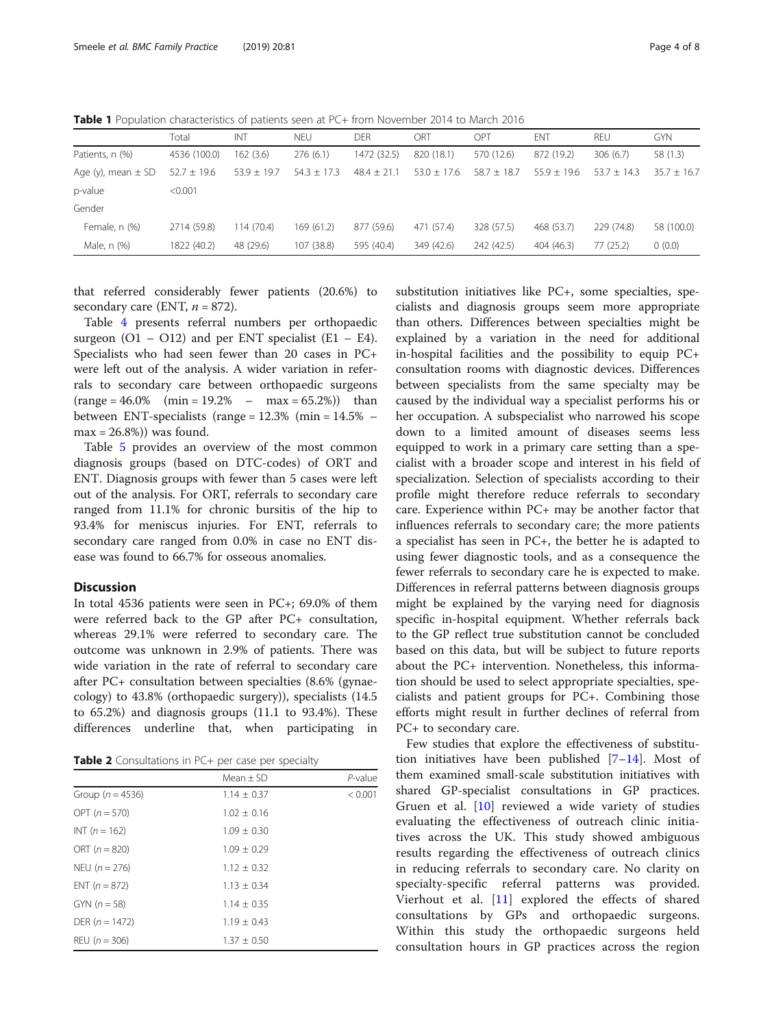<span id="page-3-0"></span>Table 1 Population characteristics of patients seen at PC+ from November 2014 to March 2016

|                        | Total           | INT             | <b>NEU</b>      | DER             | ORT             | OPT           | ENT           | <b>REU</b>    | <b>GYN</b>    |  |
|------------------------|-----------------|-----------------|-----------------|-----------------|-----------------|---------------|---------------|---------------|---------------|--|
| Patients, n (%)        | 4536 (100.0)    | 162 (3.6)       | 276(6.1)        | 1472 (32.5)     | 820 (18.1)      | 570 (12.6)    | 872 (19.2)    | 306(6.7)      | 58 (1.3)      |  |
| Age (y), mean $\pm$ SD | $52.7 \pm 19.6$ | $53.9 \pm 19.7$ | $54.3 \pm 17.3$ | $48.4 \pm 21.1$ | $53.0 \pm 17.6$ | $58.7 + 18.7$ | $55.9 + 19.6$ | $53.7 + 14.3$ | $35.7 + 16.7$ |  |
| p-value                | < 0.001         |                 |                 |                 |                 |               |               |               |               |  |
| Gender                 |                 |                 |                 |                 |                 |               |               |               |               |  |
| Female, n (%)          | 2714 (59.8)     | 114 (70.4)      | 169(61.2)       | 877 (59.6)      | 471 (57.4)      | 328 (57.5)    | 468 (53.7)    | 229 (74.8)    | 58 (100.0)    |  |
| Male, n (%)            | 1822 (40.2)     | 48 (29.6)       | 107 (38.8)      | 595 (40.4)      | 349 (42.6)      | 242 (42.5)    | 404 (46.3)    | 77 (25.2)     | 0(0.0)        |  |
|                        |                 |                 |                 |                 |                 |               |               |               |               |  |

that referred considerably fewer patients (20.6%) to secondary care (ENT,  $n = 872$ ).

Table [4](#page-4-0) presents referral numbers per orthopaedic surgeon  $(O1 - O12)$  and per ENT specialist  $(E1 - E4)$ . Specialists who had seen fewer than 20 cases in PC+ were left out of the analysis. A wider variation in referrals to secondary care between orthopaedic surgeons  $(range = 46.0\% (min = 19.2\% - max = 65.2\%))$  than between ENT-specialists (range =  $12.3\%$  (min =  $14.5\%$  –  $max = 26.8\%)$  was found.

Table [5](#page-5-0) provides an overview of the most common diagnosis groups (based on DTC-codes) of ORT and ENT. Diagnosis groups with fewer than 5 cases were left out of the analysis. For ORT, referrals to secondary care ranged from 11.1% for chronic bursitis of the hip to 93.4% for meniscus injuries. For ENT, referrals to secondary care ranged from 0.0% in case no ENT disease was found to 66.7% for osseous anomalies.

# Discussion

In total 4536 patients were seen in PC+; 69.0% of them were referred back to the GP after PC+ consultation, whereas 29.1% were referred to secondary care. The outcome was unknown in 2.9% of patients. There was wide variation in the rate of referral to secondary care after PC+ consultation between specialties (8.6% (gynaecology) to 43.8% (orthopaedic surgery)), specialists (14.5 to 65.2%) and diagnosis groups (11.1 to 93.4%). These differences underline that, when participating in

Table 2 Consultations in PC+ per case per specialty

| Mean $\pm$ SD   | $P$ -value |
|-----------------|------------|
| $1.14 \pm 0.37$ | < 0.001    |
| $1.02 \pm 0.16$ |            |
| $1.09 \pm 0.30$ |            |
| $1.09 + 0.29$   |            |
| $1.12 \pm 0.32$ |            |
| $1.13 \pm 0.34$ |            |
| $1.14 + 0.35$   |            |
| $1.19 \pm 0.43$ |            |
| $1.37 \pm 0.50$ |            |
|                 |            |

substitution initiatives like PC+, some specialties, specialists and diagnosis groups seem more appropriate than others. Differences between specialties might be explained by a variation in the need for additional in-hospital facilities and the possibility to equip PC+ consultation rooms with diagnostic devices. Differences between specialists from the same specialty may be caused by the individual way a specialist performs his or her occupation. A subspecialist who narrowed his scope down to a limited amount of diseases seems less equipped to work in a primary care setting than a specialist with a broader scope and interest in his field of specialization. Selection of specialists according to their profile might therefore reduce referrals to secondary care. Experience within PC+ may be another factor that influences referrals to secondary care; the more patients a specialist has seen in PC+, the better he is adapted to using fewer diagnostic tools, and as a consequence the fewer referrals to secondary care he is expected to make. Differences in referral patterns between diagnosis groups might be explained by the varying need for diagnosis specific in-hospital equipment. Whether referrals back to the GP reflect true substitution cannot be concluded based on this data, but will be subject to future reports about the PC+ intervention. Nonetheless, this information should be used to select appropriate specialties, specialists and patient groups for PC+. Combining those efforts might result in further declines of referral from PC+ to secondary care.

Few studies that explore the effectiveness of substitution initiatives have been published [\[7](#page-7-0)–[14\]](#page-7-0). Most of them examined small-scale substitution initiatives with shared GP-specialist consultations in GP practices. Gruen et al. [[10\]](#page-7-0) reviewed a wide variety of studies evaluating the effectiveness of outreach clinic initiatives across the UK. This study showed ambiguous results regarding the effectiveness of outreach clinics in reducing referrals to secondary care. No clarity on specialty-specific referral patterns was provided. Vierhout et al. [[11\]](#page-7-0) explored the effects of shared consultations by GPs and orthopaedic surgeons. Within this study the orthopaedic surgeons held consultation hours in GP practices across the region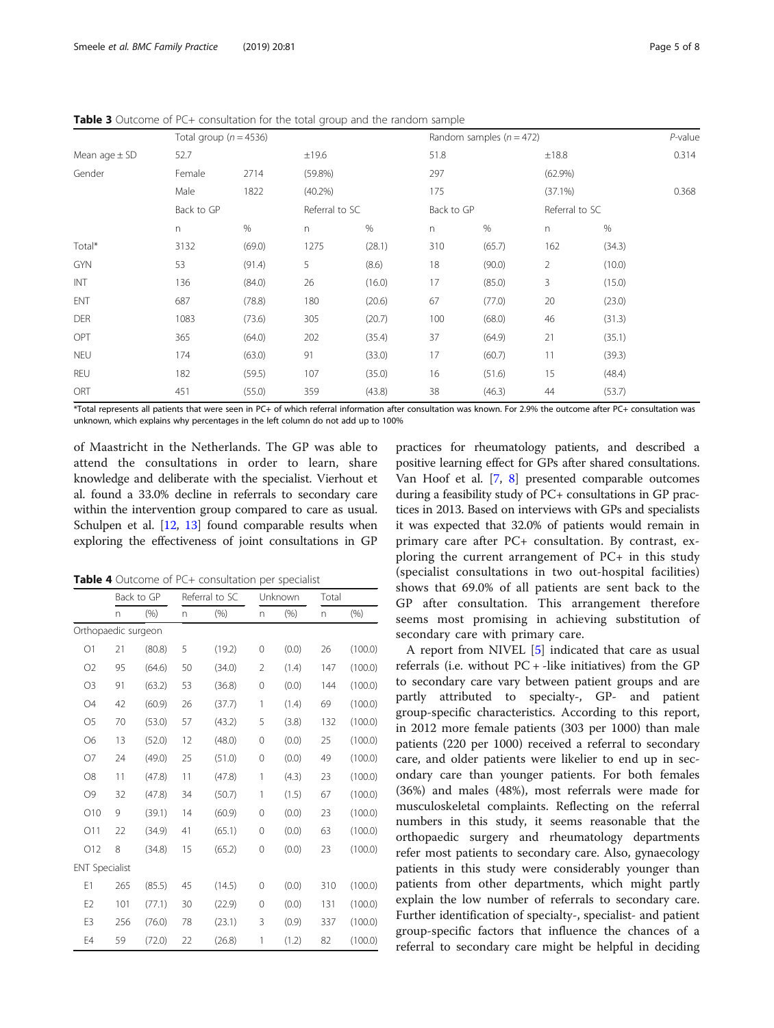|                       | Total group ( $n = 4536$ )                                                                                      |        |            |                                                                                                                    |     | Random samples ( $n = 472$ ) |                                                                                                                                                                                                                                                                                                                                                                                      |                |                               |  |
|-----------------------|-----------------------------------------------------------------------------------------------------------------|--------|------------|--------------------------------------------------------------------------------------------------------------------|-----|------------------------------|--------------------------------------------------------------------------------------------------------------------------------------------------------------------------------------------------------------------------------------------------------------------------------------------------------------------------------------------------------------------------------------|----------------|-------------------------------|--|
| Mean age $\pm$ SD     | 52.7                                                                                                            |        | ±19.6      |                                                                                                                    |     |                              | ±18.8                                                                                                                                                                                                                                                                                                                                                                                |                |                               |  |
| Gender                | Female                                                                                                          | 2714   | $(59.8\%)$ |                                                                                                                    | 297 |                              |                                                                                                                                                                                                                                                                                                                                                                                      | $(62.9\%)$     |                               |  |
|                       | Male                                                                                                            | 1822   | $(40.2\%)$ |                                                                                                                    |     | 175                          |                                                                                                                                                                                                                                                                                                                                                                                      | (37.1%)        |                               |  |
|                       | Back to GP                                                                                                      |        |            | Referral to SC                                                                                                     |     | Back to GP                   |                                                                                                                                                                                                                                                                                                                                                                                      | Referral to SC |                               |  |
|                       | n                                                                                                               | %      | n.         | $\%$                                                                                                               | n.  | $\%$                         | n.                                                                                                                                                                                                                                                                                                                                                                                   | $\%$           |                               |  |
| Total*                | 3132                                                                                                            | (69.0) | 1275       | (28.1)                                                                                                             | 310 | (65.7)                       | 162                                                                                                                                                                                                                                                                                                                                                                                  | (34.3)         |                               |  |
| <b>GYN</b>            | 53                                                                                                              | (91.4) | 5          | (8.6)                                                                                                              | 18  | (90.0)                       | $\overline{2}$                                                                                                                                                                                                                                                                                                                                                                       | (10.0)         |                               |  |
| INT                   | 136                                                                                                             | (84.0) | 26         | (16.0)                                                                                                             | 17  | (85.0)                       | 3                                                                                                                                                                                                                                                                                                                                                                                    | (15.0)         |                               |  |
| ENT                   | 687                                                                                                             | (78.8) | 180        | (20.6)                                                                                                             | 67  | (77.0)                       | 20                                                                                                                                                                                                                                                                                                                                                                                   | (23.0)         |                               |  |
| <b>DER</b>            | 1083                                                                                                            | (73.6) | 305        | (20.7)                                                                                                             | 100 | (68.0)                       | 46                                                                                                                                                                                                                                                                                                                                                                                   | (31.3)         |                               |  |
| OPT                   | 365                                                                                                             | (64.0) | 202        | (35.4)                                                                                                             | 37  | (64.9)                       | 21                                                                                                                                                                                                                                                                                                                                                                                   | (35.1)         |                               |  |
| <b>NEU</b>            | 174                                                                                                             | (63.0) | 91         | (33.0)                                                                                                             | 17  | (60.7)                       | 11                                                                                                                                                                                                                                                                                                                                                                                   | (39.3)         |                               |  |
| <b>REU</b>            | 182                                                                                                             | (59.5) | 107        | (35.0)                                                                                                             | 16  | (51.6)                       | 15                                                                                                                                                                                                                                                                                                                                                                                   | (48.4)         |                               |  |
| <b>ORT</b>            | 451                                                                                                             | (55.0) | 359        | (43.8)                                                                                                             | 38  | (46.3)                       | 44                                                                                                                                                                                                                                                                                                                                                                                   | (53.7)         |                               |  |
| $2.77 \times 10^{-1}$ | the contract of the contract of the contract of the contract of the contract of the contract of the contract of |        |            | $\mathbf{r}$ and $\mathbf{r}$ and $\mathbf{r}$ and $\mathbf{r}$ and $\mathbf{r}$ and $\mathbf{r}$ and $\mathbf{r}$ |     |                              | $\overline{r}$ $\overline{r}$ $\overline{r}$ $\overline{r}$ $\overline{r}$ $\overline{r}$ $\overline{r}$ $\overline{r}$ $\overline{r}$ $\overline{r}$ $\overline{r}$ $\overline{r}$ $\overline{r}$ $\overline{r}$ $\overline{r}$ $\overline{r}$ $\overline{r}$ $\overline{r}$ $\overline{r}$ $\overline{r}$ $\overline{r}$ $\overline{r}$ $\overline{r}$ $\overline{r}$ $\overline{$ | $\sim$ $\sim$  | $\mathbf{1}$ . $\mathbf{1}$ . |  |

<span id="page-4-0"></span>Table 3 Outcome of PC+ consultation for the total group and the random sample

\*Total represents all patients that were seen in PC+ of which referral information after consultation was known. For 2.9% the outcome after PC+ consultation was unknown, which explains why percentages in the left column do not add up to 100%

of Maastricht in the Netherlands. The GP was able to attend the consultations in order to learn, share knowledge and deliberate with the specialist. Vierhout et al. found a 33.0% decline in referrals to secondary care within the intervention group compared to care as usual. Schulpen et al. [\[12,](#page-7-0) [13\]](#page-7-0) found comparable results when exploring the effectiveness of joint consultations in GP

Table 4 Outcome of PC+ consultation per specialist

|                       |     | Back to GP |    | Referral to SC |                | Unknown |     | Total   |  |
|-----------------------|-----|------------|----|----------------|----------------|---------|-----|---------|--|
|                       | n   | $(\% )$    | n  | $(\% )$        | n              | $(\% )$ | n   | (% )    |  |
| Orthopaedic surgeon   |     |            |    |                |                |         |     |         |  |
| O <sub>1</sub>        | 21  | (80.8)     | 5  | (19.2)         | 0              | (0.0)   | 26  | (100.0) |  |
| O <sub>2</sub>        | 95  | (64.6)     | 50 | (34.0)         | $\overline{2}$ | (1.4)   | 147 | (100.0) |  |
| O <sub>3</sub>        | 91  | (63.2)     | 53 | (36.8)         | 0              | (0.0)   | 144 | (100.0) |  |
| <b>O4</b>             | 42  | (60.9)     | 26 | (37.7)         | 1              | (1.4)   | 69  | (100.0) |  |
| O <sub>5</sub>        | 70  | (53.0)     | 57 | (43.2)         | 5              | (3.8)   | 132 | (100.0) |  |
| O <sub>6</sub>        | 13  | (52.0)     | 12 | (48.0)         | 0              | (0.0)   | 25  | (100.0) |  |
| O7                    | 24  | (49.0)     | 25 | (51.0)         | 0              | (0.0)   | 49  | (100.0) |  |
| O <sub>8</sub>        | 11  | (47.8)     | 11 | (47.8)         | $\mathbf{1}$   | (4.3)   | 23  | (100.0) |  |
| O <sub>9</sub>        | 32  | (47.8)     | 34 | (50.7)         | 1              | (1.5)   | 67  | (100.0) |  |
| O10                   | 9   | (39.1)     | 14 | (60.9)         | $\mathbf 0$    | (0.0)   | 23  | (100.0) |  |
| O11                   | 22  | (34.9)     | 41 | (65.1)         | 0              | (0.0)   | 63  | (100.0) |  |
| 012                   | 8   | (34.8)     | 15 | (65.2)         | $\mathbf 0$    | (0.0)   | 23  | (100.0) |  |
| <b>ENT Specialist</b> |     |            |    |                |                |         |     |         |  |
| E1                    | 265 | (85.5)     | 45 | (14.5)         | 0              | (0.0)   | 310 | (100.0) |  |
| E <sub>2</sub>        | 101 | (77.1)     | 30 | (22.9)         | 0              | (0.0)   | 131 | (100.0) |  |
| E <sub>3</sub>        | 256 | (76.0)     | 78 | (23.1)         | 3              | (0.9)   | 337 | (100.0) |  |
| E4                    | 59  | (72.0)     | 22 | (26.8)         | 1              | (1.2)   | 82  | (100.0) |  |

practices for rheumatology patients, and described a positive learning effect for GPs after shared consultations. Van Hoof et al. [[7,](#page-7-0) [8](#page-7-0)] presented comparable outcomes during a feasibility study of PC+ consultations in GP practices in 2013. Based on interviews with GPs and specialists it was expected that 32.0% of patients would remain in primary care after PC+ consultation. By contrast, exploring the current arrangement of PC+ in this study (specialist consultations in two out-hospital facilities) shows that 69.0% of all patients are sent back to the GP after consultation. This arrangement therefore seems most promising in achieving substitution of secondary care with primary care.

A report from NIVEL [[5\]](#page-7-0) indicated that care as usual referrals (i.e. without PC + -like initiatives) from the GP to secondary care vary between patient groups and are partly attributed to specialty-, GP- and patient group-specific characteristics. According to this report, in 2012 more female patients (303 per 1000) than male patients (220 per 1000) received a referral to secondary care, and older patients were likelier to end up in secondary care than younger patients. For both females (36%) and males (48%), most referrals were made for musculoskeletal complaints. Reflecting on the referral numbers in this study, it seems reasonable that the orthopaedic surgery and rheumatology departments refer most patients to secondary care. Also, gynaecology patients in this study were considerably younger than patients from other departments, which might partly explain the low number of referrals to secondary care. Further identification of specialty-, specialist- and patient group-specific factors that influence the chances of a referral to secondary care might be helpful in deciding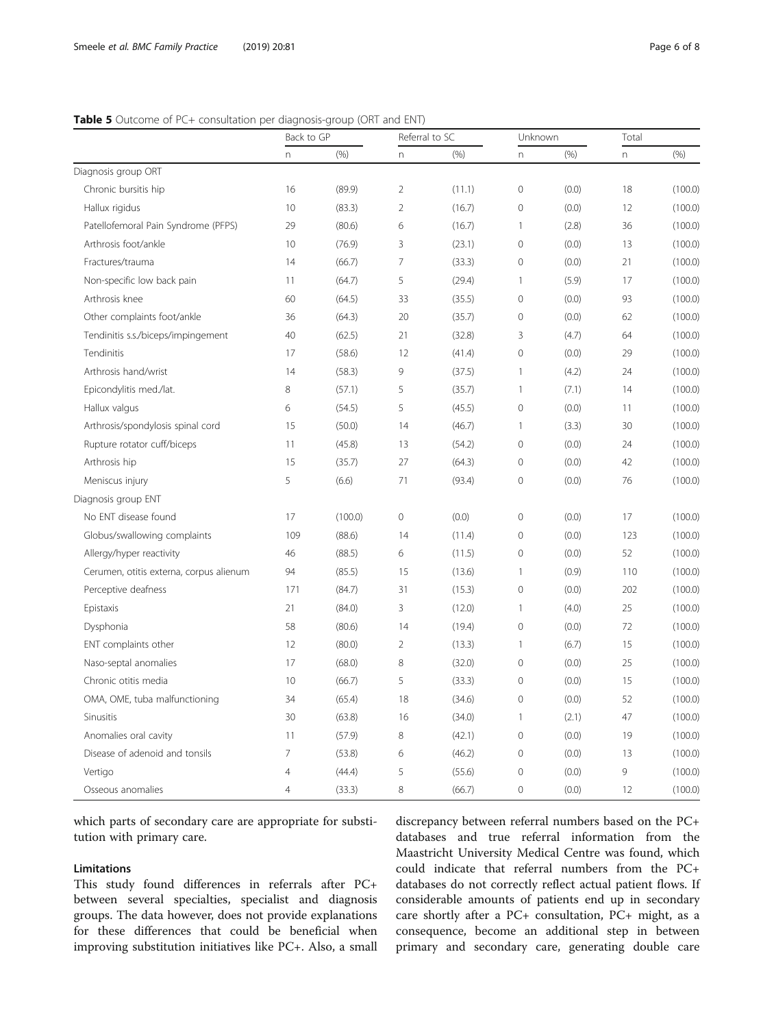## <span id="page-5-0"></span>Table 5 Outcome of PC+ consultation per diagnosis-group (ORT and ENT)

|                                         | Back to GP     |         |                | Referral to SC |                | Unknown |     | Total   |  |
|-----------------------------------------|----------------|---------|----------------|----------------|----------------|---------|-----|---------|--|
|                                         | n              | (% )    | n              | (% )           | n              | (% )    | n   | (% )    |  |
| Diagnosis group ORT                     |                |         |                |                |                |         |     |         |  |
| Chronic bursitis hip                    | 16             | (89.9)  | $\overline{2}$ | (11.1)         | $\mathbf 0$    | (0.0)   | 18  | (100.0) |  |
| Hallux rigidus                          | 10             | (83.3)  | $\overline{2}$ | (16.7)         | $\mathbf 0$    | (0.0)   | 12  | (100.0) |  |
| Patellofemoral Pain Syndrome (PFPS)     | 29             | (80.6)  | 6              | (16.7)         | $\mathbf{1}$   | (2.8)   | 36  | (100.0) |  |
| Arthrosis foot/ankle                    | 10             | (76.9)  | 3              | (23.1)         | $\mathbf 0$    | (0.0)   | 13  | (100.0) |  |
| Fractures/trauma                        | 14             | (66.7)  | 7              | (33.3)         | $\mathbf 0$    | (0.0)   | 21  | (100.0) |  |
| Non-specific low back pain              | 11             | (64.7)  | 5              | (29.4)         | $\mathbf{1}$   | (5.9)   | 17  | (100.0) |  |
| Arthrosis knee                          | 60             | (64.5)  | 33             | (35.5)         | $\mathbf 0$    | (0.0)   | 93  | (100.0) |  |
| Other complaints foot/ankle             | 36             | (64.3)  | 20             | (35.7)         | $\mathbf 0$    | (0.0)   | 62  | (100.0) |  |
| Tendinitis s.s./biceps/impingement      | 40             | (62.5)  | 21             | (32.8)         | 3              | (4.7)   | 64  | (100.0) |  |
| Tendinitis                              | 17             | (58.6)  | 12             | (41.4)         | $\mathbf 0$    | (0.0)   | 29  | (100.0) |  |
| Arthrosis hand/wrist                    | 14             | (58.3)  | 9              | (37.5)         | $\mathbf{1}$   | (4.2)   | 24  | (100.0) |  |
| Epicondylitis med./lat.                 | 8              | (57.1)  | 5              | (35.7)         | $\mathbf{1}$   | (7.1)   | 14  | (100.0) |  |
| Hallux valgus                           | 6              | (54.5)  | 5              | (45.5)         | $\mathbf 0$    | (0.0)   | 11  | (100.0) |  |
| Arthrosis/spondylosis spinal cord       | 15             | (50.0)  | 14             | (46.7)         | $\mathbf{1}$   | (3.3)   | 30  | (100.0) |  |
| Rupture rotator cuff/biceps             | 11             | (45.8)  | 13             | (54.2)         | $\mathbf 0$    | (0.0)   | 24  | (100.0) |  |
| Arthrosis hip                           | 15             | (35.7)  | 27             | (64.3)         | $\mathbf 0$    | (0.0)   | 42  | (100.0) |  |
| Meniscus injury                         | 5              | (6.6)   | 71             | (93.4)         | $\overline{0}$ | (0.0)   | 76  | (100.0) |  |
| Diagnosis group ENT                     |                |         |                |                |                |         |     |         |  |
| No ENT disease found                    | 17             | (100.0) | $\mathbf 0$    | (0.0)          | $\mathbf 0$    | (0.0)   | 17  | (100.0) |  |
| Globus/swallowing complaints            | 109            | (88.6)  | 14             | (11.4)         | $\mathbf 0$    | (0.0)   | 123 | (100.0) |  |
| Allergy/hyper reactivity                | 46             | (88.5)  | 6              | (11.5)         | $\mathbf 0$    | (0.0)   | 52  | (100.0) |  |
| Cerumen, otitis externa, corpus alienum | 94             | (85.5)  | 15             | (13.6)         | $\mathbf{1}$   | (0.9)   | 110 | (100.0) |  |
| Perceptive deafness                     | 171            | (84.7)  | 31             | (15.3)         | $\mathbf 0$    | (0.0)   | 202 | (100.0) |  |
| Epistaxis                               | 21             | (84.0)  | 3              | (12.0)         | $\mathbf{1}$   | (4.0)   | 25  | (100.0) |  |
| Dysphonia                               | 58             | (80.6)  | 14             | (19.4)         | $\overline{0}$ | (0.0)   | 72  | (100.0) |  |
| ENT complaints other                    | 12             | (80.0)  | $\overline{2}$ | (13.3)         | $\mathbf{1}$   | (6.7)   | 15  | (100.0) |  |
| Naso-septal anomalies                   | 17             | (68.0)  | 8              | (32.0)         | $\mathbf 0$    | (0.0)   | 25  | (100.0) |  |
| Chronic otitis media                    | 10             | (66.7)  | 5              | (33.3)         | $\mathbf 0$    | (0.0)   | 15  | (100.0) |  |
| OMA, OME, tuba malfunctioning           | 34             | (65.4)  | 18             | (34.6)         | $\mathbf 0$    | (0.0)   | 52  | (100.0) |  |
| Sinusitis                               | 30             | (63.8)  | 16             | (34.0)         | $\mathbf{1}$   | (2.1)   | 47  | (100.0) |  |
| Anomalies oral cavity                   | 11             | (57.9)  | 8              | (42.1)         | $\mathbf 0$    | (0.0)   | 19  | (100.0) |  |
| Disease of adenoid and tonsils          | $\overline{7}$ | (53.8)  | 6              | (46.2)         | $\mathbf 0$    | (0.0)   | 13  | (100.0) |  |
| Vertigo                                 | $\overline{4}$ | (44.4)  | 5              | (55.6)         | $\mathbf 0$    | (0.0)   | 9   | (100.0) |  |
| Osseous anomalies                       | $\overline{4}$ | (33.3)  | 8              | (66.7)         | $\overline{0}$ | (0.0)   | 12  | (100.0) |  |

which parts of secondary care are appropriate for substitution with primary care.

### Limitations

This study found differences in referrals after PC+ between several specialties, specialist and diagnosis groups. The data however, does not provide explanations for these differences that could be beneficial when improving substitution initiatives like PC+. Also, a small discrepancy between referral numbers based on the PC+ databases and true referral information from the Maastricht University Medical Centre was found, which could indicate that referral numbers from the PC+ databases do not correctly reflect actual patient flows. If considerable amounts of patients end up in secondary care shortly after a PC+ consultation, PC+ might, as a consequence, become an additional step in between primary and secondary care, generating double care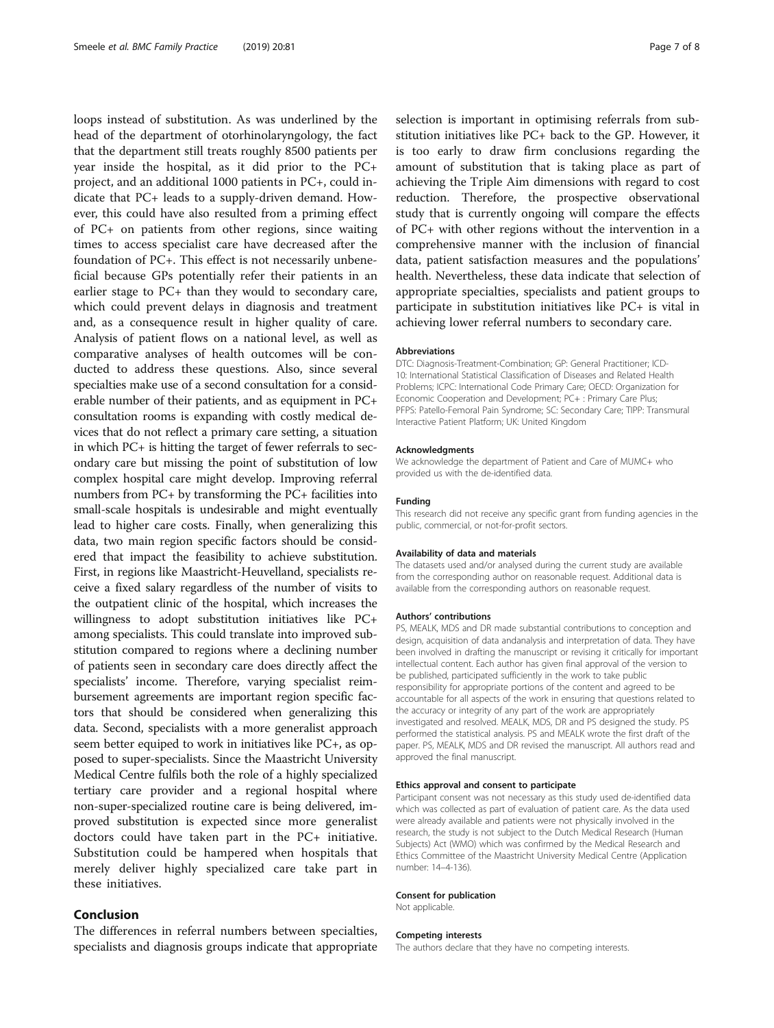loops instead of substitution. As was underlined by the head of the department of otorhinolaryngology, the fact that the department still treats roughly 8500 patients per year inside the hospital, as it did prior to the PC+ project, and an additional 1000 patients in PC+, could indicate that PC+ leads to a supply-driven demand. However, this could have also resulted from a priming effect of PC+ on patients from other regions, since waiting times to access specialist care have decreased after the foundation of PC+. This effect is not necessarily unbeneficial because GPs potentially refer their patients in an earlier stage to PC+ than they would to secondary care, which could prevent delays in diagnosis and treatment and, as a consequence result in higher quality of care. Analysis of patient flows on a national level, as well as comparative analyses of health outcomes will be conducted to address these questions. Also, since several specialties make use of a second consultation for a considerable number of their patients, and as equipment in PC+ consultation rooms is expanding with costly medical devices that do not reflect a primary care setting, a situation in which PC+ is hitting the target of fewer referrals to secondary care but missing the point of substitution of low complex hospital care might develop. Improving referral numbers from PC+ by transforming the PC+ facilities into small-scale hospitals is undesirable and might eventually lead to higher care costs. Finally, when generalizing this data, two main region specific factors should be considered that impact the feasibility to achieve substitution. First, in regions like Maastricht-Heuvelland, specialists receive a fixed salary regardless of the number of visits to the outpatient clinic of the hospital, which increases the willingness to adopt substitution initiatives like PC+ among specialists. This could translate into improved substitution compared to regions where a declining number of patients seen in secondary care does directly affect the specialists' income. Therefore, varying specialist reimbursement agreements are important region specific factors that should be considered when generalizing this data. Second, specialists with a more generalist approach seem better equiped to work in initiatives like PC+, as opposed to super-specialists. Since the Maastricht University Medical Centre fulfils both the role of a highly specialized tertiary care provider and a regional hospital where non-super-specialized routine care is being delivered, improved substitution is expected since more generalist doctors could have taken part in the PC+ initiative. Substitution could be hampered when hospitals that merely deliver highly specialized care take part in these initiatives.

# Conclusion

The differences in referral numbers between specialties, specialists and diagnosis groups indicate that appropriate

selection is important in optimising referrals from substitution initiatives like PC+ back to the GP. However, it is too early to draw firm conclusions regarding the amount of substitution that is taking place as part of achieving the Triple Aim dimensions with regard to cost reduction. Therefore, the prospective observational study that is currently ongoing will compare the effects of PC+ with other regions without the intervention in a comprehensive manner with the inclusion of financial data, patient satisfaction measures and the populations' health. Nevertheless, these data indicate that selection of appropriate specialties, specialists and patient groups to participate in substitution initiatives like PC+ is vital in achieving lower referral numbers to secondary care.

#### Abbreviations

DTC: Diagnosis-Treatment-Combination; GP: General Practitioner; ICD-10: International Statistical Classification of Diseases and Related Health Problems; ICPC: International Code Primary Care; OECD: Organization for Economic Cooperation and Development; PC+ : Primary Care Plus; PFPS: Patello-Femoral Pain Syndrome; SC: Secondary Care; TIPP: Transmural Interactive Patient Platform; UK: United Kingdom

#### Acknowledgments

We acknowledge the department of Patient and Care of MUMC+ who provided us with the de-identified data.

#### Funding

This research did not receive any specific grant from funding agencies in the public, commercial, or not-for-profit sectors.

#### Availability of data and materials

The datasets used and/or analysed during the current study are available from the corresponding author on reasonable request. Additional data is available from the corresponding authors on reasonable request.

#### Authors' contributions

PS, MEALK, MDS and DR made substantial contributions to conception and design, acquisition of data andanalysis and interpretation of data. They have been involved in drafting the manuscript or revising it critically for important intellectual content. Each author has given final approval of the version to be published, participated sufficiently in the work to take public responsibility for appropriate portions of the content and agreed to be accountable for all aspects of the work in ensuring that questions related to the accuracy or integrity of any part of the work are appropriately investigated and resolved. MEALK, MDS, DR and PS designed the study. PS performed the statistical analysis. PS and MEALK wrote the first draft of the paper. PS, MEALK, MDS and DR revised the manuscript. All authors read and approved the final manuscript.

#### Ethics approval and consent to participate

Participant consent was not necessary as this study used de-identified data which was collected as part of evaluation of patient care. As the data used were already available and patients were not physically involved in the research, the study is not subject to the Dutch Medical Research (Human Subjects) Act (WMO) which was confirmed by the Medical Research and Ethics Committee of the Maastricht University Medical Centre (Application number: 14–4-136).

#### Consent for publication

Not applicable.

#### Competing interests

The authors declare that they have no competing interests.